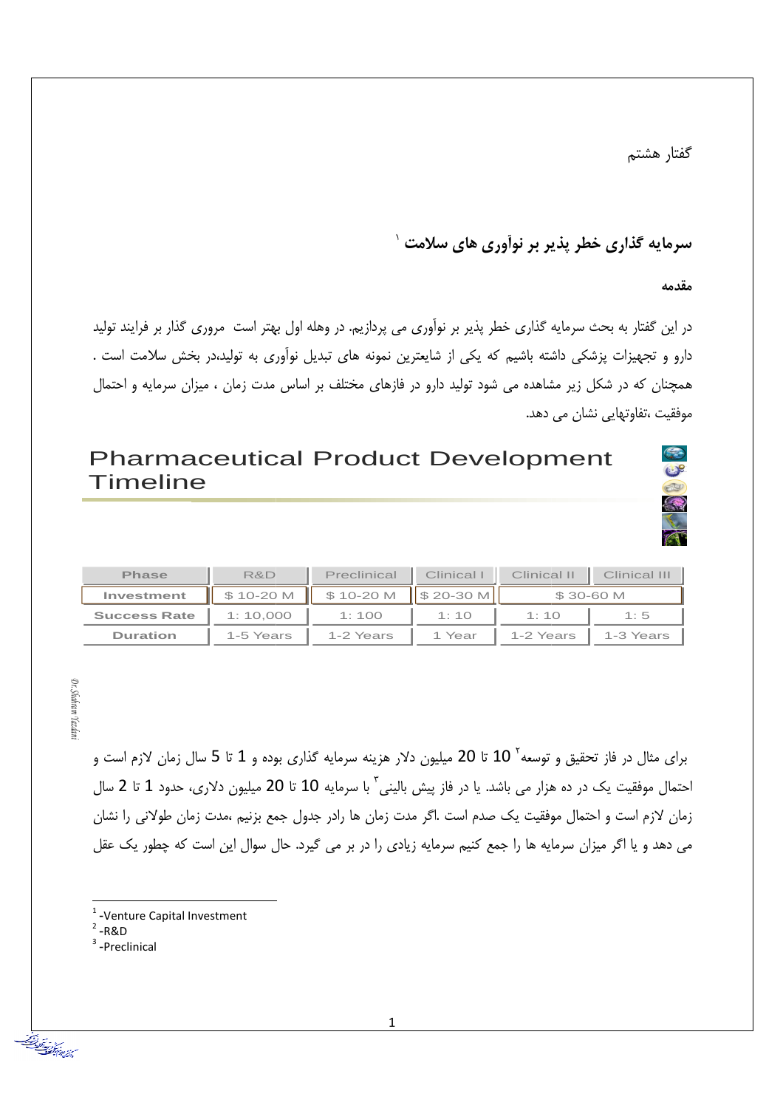گفتار هشتم

## سرمایه گذاری خطر پذیر بر نوآوری های سلامت <sup>۱</sup>

مق*د*مه

در این گفتار به بحث سرمایه گذاری خطر پذیر بر نوآوری می پردازیم. در وهله اول بهتر است مروری گذار بر فرایند تولید دارو و تجهیزات پزشکی داشته باشیم که یکی از شایعترین نمونه های تبدیل نوآوری به تولید،در بخش سلامت است . همچنان که در شکل زیر مشاهده می شود تولید دارو در فازهای مختلف بر اساس مدت زمان ، میزان سرمایه و احتمال موفقیت ،تفاوتهایی نشان می دهد.



# Pharmaceutical Product Development Timeline

| <b>Phase</b>        | R&D       | Preclinical | Clinical      | Clinical II | Clinical III |
|---------------------|-----------|-------------|---------------|-------------|--------------|
| Investment          | \$10-20 M | \$10-20 M   | II \$ 20-30 M |             | \$30-60 M    |
| <b>Success Rate</b> | 1:10.000  | 1:100       | 1:10          | 1:10        | 1:5          |
| <b>Duration</b>     | 1-5 Years | 1-2 Years   | 1 Year        | 1-2 Years   | 1-3 Years    |

Dr. Shahram Yazdan *Dr. Shahram Yazdani*

> برای مثال در فاز تحقیق و توسعه<sup>۲</sup> 10 تا 20 میلیون دلار هزینه سرمایه گذاری بوده و 1 تا 5 سال زمان لازم است و احتمال موفقیت یک در ده هزار می باشد. یا در فاز پیش بالینی<sup>۲</sup> با سرمایه 10 تا 20 میلیون دلاری، حدود 1 تا 2 سال زمان لازم است و احتمال موفقيت يک صدم است .اگر مدت زمان ها رادر جدول جمع بزنيم ،مدت زمان طولاني را نشان می دهد و یا اگر میزان سرمایه ها را جمع کنیم سرمایه زیادی را در بر می گیرد. حال سوال این است که چطور یک عقل

<sup>1</sup> -Venture Capital Investment

 $\overline{a}$ 

 $2 - R & D$ 

l

سبيش وبيدان<br>سبزشيده بمنطق

<sup>3</sup> -Preclinical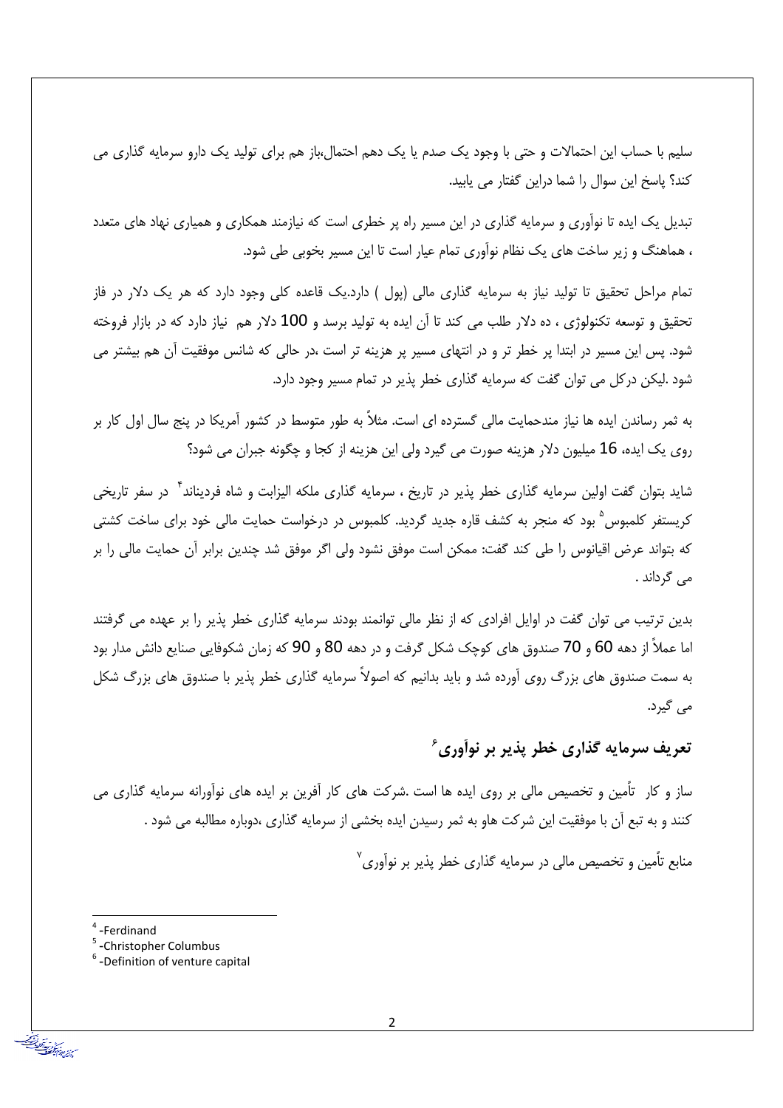سلیم با حساب این احتمالات و حتی با وجود یک صدم یا یک دهم احتمال،باز هم برای تولید یک دارو سرمایه گذاری می کند؟ پاسخ این سوال را شما دراین گفتار می پابید.

تبدیل یک ایده تا نوآوری و سرمایه گذاری در این مسیر راه پر خطری است که نیازمند همکاری و همیاری نهاد های متعدد ، هماهنگ و زیر ساخت های یک نظام نوآوری تمام عیار است تا این مسیر بخوبی طی شود.

تمام مراحل تحقیق تا تولید نیاز به سرمایه گذاری مالی (پول ) دارد.یک قاعده کلی وجود دارد که هر یک دلار در فاز تحقیق و توسعه تکنولوژی ، ده دلار طلب می کند تا آن ایده به تولید برسد و 100 دلار هم نیاز دارد که در بازار فروخته شود. پس این مسیر در ابتدا پر خطر تر و در انتهای مسیر پر هزینه تر است ،در حالی که شانس موفقیت آن هم بیشتر می شود .لیکن در کل می توان گفت که سرمایه گذاری خطر پذیر در تمام مسیر وجود دارد.

به ثمر رساندن ایده ها نیاز مندحمایت مالی گسترده ای است. مثلاً به طور متوسط در کشور آمریکا در پنج سال اول کار بر روی یک ایده، 16 میلیون دلار هزینه صورت می گیرد ولی این هزینه از کجا و چگونه جبران می شود؟

شاید بتوان گفت اولین سرمایه گذاری خطر پذیر در تاریخ ، سرمایه گذاری ملکه الیزابت و شاه فردیناند<sup>۴</sup> در سفر تاریخی کریستفر کلمبوس<sup>۵</sup> بود که منجر به کشف قاره جدید گردید. کلمبوس در درخواست حمایت مالی خود برای ساخت کشتی که بتواند عرض اقیانوس را طی کند گفت: ممکن است موفق نشود ولی اگر موفق شد چندین برابر آن حمایت مالی را بر می گرداند .

بدین ترتیب می توان گفت در اوایل افرادی که از نظر مالی توانمند بودند سرمایه گذاری خطر پذیر را بر عهده می گرفتند اما عملاً از دهه 60 و 70 صندوق های کوچک شکل گرفت و در دهه 80 و 90 که زمان شکوفایی صنایع دانش مدار بود به سمت صندوق های بزرگ روی آورده شد و باید بدانیم که اصولاً سرمایه گذاری خطر پذیر با صندوق های بزرگ شکل می گیرد.

#### تعریف سرمایه گذاری خطر پذیر بر نوآوری ٔ

ساز و کار تأمین و تخصیص مالی بر روی ایده ها است .شرکت های کار آفرین بر ایده های نوآورانه سرمایه گذاری می کنند و به تبع اّن با موفقیت این شرکت هاو به ثمر رسیدن ایده بخشی از سرمایه گذاری ،دوباره مطالبه می شود .

منابع تأمین و تخصیص مالی در سرمایه گذاری خطر پذیر بر نوآوری<sup>۷</sup>

<sup>&</sup>lt;sup>4</sup>-Ferdinand

<sup>&</sup>lt;sup>5</sup>-Christopher Columbus

 $6$ -Definition of venture capital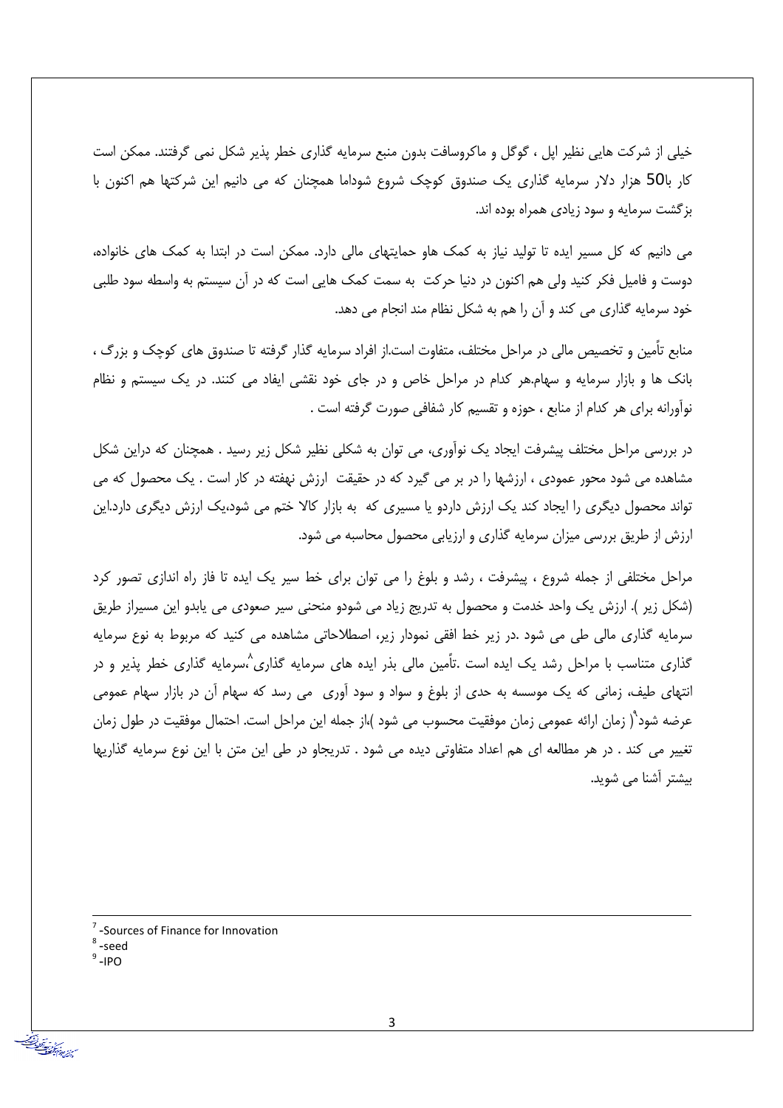خیلی از شرکت هایی نظیر ایل ، گوگل و ماکروسافت بدون منبع سرمایه گذاری خطر پذیر شکل نمی گرفتند. ممکن است کار با50 هزار دلار سرمایه گذاری یک صندوق کوچک شروع شوداما همچنان که می دانیم این شرکتها هم اکنون با بزگشت سرمایه و سود زیادی همراه بوده اند.

می دانیم که کل مسیر ایده تا تولید نیاز به کمک هاو حمایتهای مالی دارد. ممکن است در ابتدا به کمک های خانواده، دوست و فامیل فکر کنید ولی هم اکنون در دنیا حرکت به سمت کمک هایی است که در آن سیستم به واسطه سود طلبی خود سرمایه گذاری می کند و آن را هم به شکل نظام مند انجام می دهد.

منابع تأمین و تخصیص مالی در مراحل مختلف، متفاوت است.از افراد سرمایه گذار گرفته تا صندوق های کوچک و بزرگ ، بانک ها و بازار سرمایه و سهام.هر کدام در مراحل خاص و در جای خود نقشی ایفاد می کنند. در یک سیستم و نظام نوآورانه برای هر کدام از منابع ، حوزه و تقسیم کار شفافی صورت گرفته است .

در بررسی مراحل مختلف پیشرفت ایجاد یک نوآوری، می توان به شکلی نظیر شکل زیر رسید . همچنان که دراین شکل مشاهده می شود محور عمودی ، ارزشها را در بر می گیرد که در حقیقت ارزش نهفته در کار است . یک محصول که می تواند محصول دیگری را ایجاد کند یک ارزش داردو یا مسیری که به بازار کالا ختم می شود،یک ارزش دیگری دارد.این ارزش از طریق بررسی میزان سرمایه گذاری و ارزیابی محصول محاسبه می شود.

مراحل مختلفی از جمله شروع ، پیشرفت ، رشد و بلوغ را می توان برای خط سیر یک ایده تا فاز راه اندازی تصور کرد (شکل زیر ). ارزش یک واحد خدمت و محصول به تدریج زیاد می شودو منحنی سیر صعودی می یابدو این مسیراز طریق سرمایه گذاری مالی طی می شود .در زیر خط افقی نمودار زیر، اصطلاحاتی مشاهده می کنید که مربوط به نوع سرمایه گذاری متناسب با مراحل رشد یک ایده است .تاًمین مالی بذر ایده های سرمایه گذاری^سرمایه گذاری خطر پذیر و در انتهای طیف، زمانی که یک موسسه به حدی از بلوغ و سواد و سود آوری ً می رسد که سهام آن در بازار سهام عمومی عرضه شود"( زمان ارائه عمومی زمان موفقیت محسوب می شود )،از جمله این مراحل است. احتمال موفقیت در طول زمان تغییر می کند . در هر مطالعه ای هم اعداد متفاوتی دیده می شود . تدریجاو در طی این متن با این نوع سرمایه گذاریها بیشتر آشنا می شوید.

-Sources of Finance for Innovation

- <sup>8</sup>-seed
- $9 IPO$

سينشر مدة كود بعداً?<br>مسينشر مدة تم ترتفضاً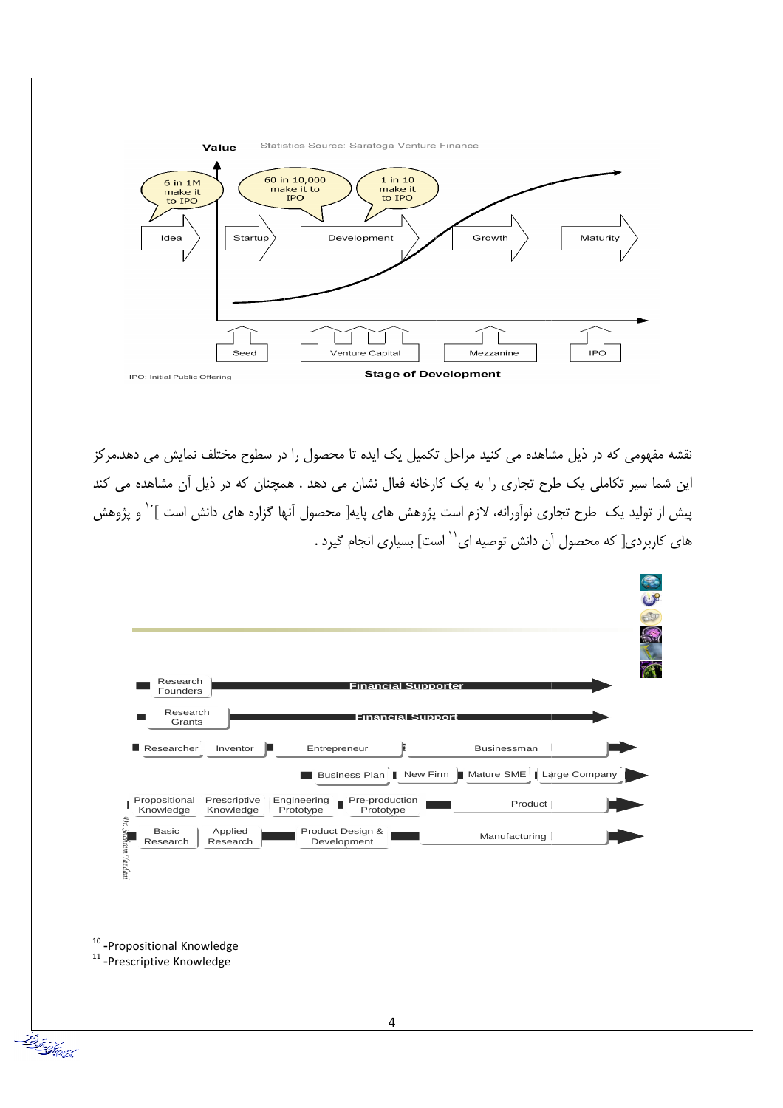

.<br>نقشه مفهومی که در ذیل مشاهده می کنید مراحل تکمیل یک ایده تا محصول را در سطوح مختلف نمایش می دهد.مرکز این شما سیر تکاملی یک طرح تجاری را به یک کارخانه فعال نشان می دهد . همچنان که در ذیل آن مشاهده می کند پیش از تولید یک طرح تجاری نوآورانه، لازم است پژوهش های پایه[ محصول آنها گزاره های دانش است ]<sup>۱۰</sup> و پژوهش های کاربردی[ که محصول آن دانش توصیه ای `` است] بسیاری انجام گیرد .



 $10$  -Propositional Knowledge

 $11$ -Prescriptive Knowledge

من المستعمر المستعمر<br>والشفاق المستعمر المستعمر المستعمر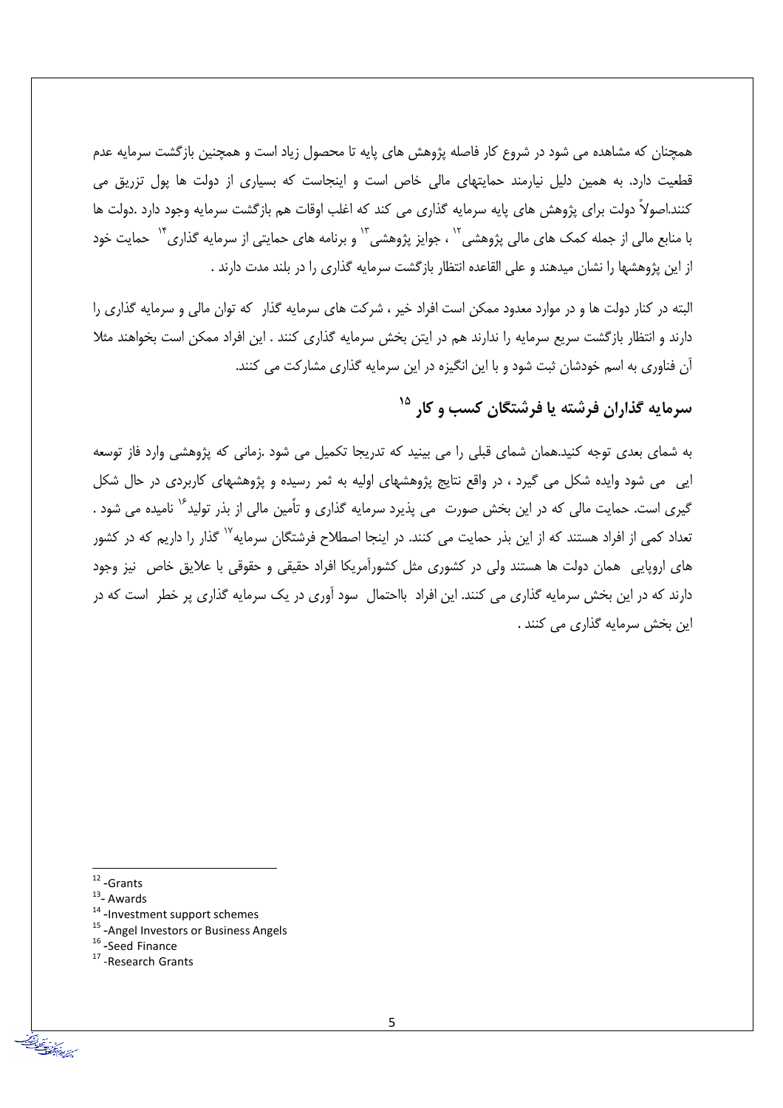همچنان که مشاهده می شود در شروع کار فاصله پژوهش های پایه تا محصول زیاد است و همچنین بازگشت سرمایه عدم قطعیت دارد. به همین دلیل نیارمند حمایتهای مالی خاص است و اینجاست که بسیاری از دولت ها پول تزریق می کنند.اصولاً دولت برای پژوهش های پایه سرمایه گذاری می کند که اغلب اوقات هم بازگشت سرمایه وجود دارد .دولت ها با منابع مالی از جمله کمک های مالی پژوهشی<sup>۱٬</sup> ، جوایز پژوهشی<sup>۱٬</sup> و برنامه های حمایتی از سرمایه گذاری<sup>۱٬</sup> حمایت خود از این پژوهشها را نشان میدهند و علی القاعده انتظار بازگشت سرمایه گذاری را در بلند مدت دارند .

البته در کنار دولت ها و در موارد معدود ممکن است افراد خیر ، شرکت های سرمایه گذار که توان مالی و سرمایه گذاری را دارند و انتظار بازگشت سریع سرمایه را ندارند هم در ایتن بخش سرمایه گذاری کنند . این افراد ممکن است بخواهند مثلا آن فناوری به اسم خودشان ثبت شود و با این انگیزه در این سرمایه گذاری مشارکت می کنند.

## سرمایه گذاران فرشته یا فرشتگان کسب و کار <sup>۱۵</sup>

به شمای بعدی توجه کنید.همان شمای قبلی را می بینید که تدریجا تکمیل می شود .زمانی که پژوهشی وارد فاز توسعه ایی می شود وایده شکل می گیرد ، در واقع نتایج پژوهشهای اولیه به ثمر رسیده و پژوهشهای کاربردی در حال شکل گیری است. حمایت مالی که در این بخش صورت می پذیرد سرمایه گذاری و تأمین مالی از بذر تولید<sup>۱۶</sup> نامیده می شود . تعداد کمی از افراد هستند که از این بذر حمایت می کنند. در اینجا اصطلاح فرشتگان سرمایه<sup>۱۷</sup> گذار را داریم که در کشور های اروپایی همان دولت ها هستند ولی در کشوری مثل کشورآمریکا افراد حقیقی و حقوقی با علایق خاص نیز وجود دارند که در این بخش سرمایه گذاری می کنند. این افراد بااحتمال سود آوری در یک سرمایه گذاری پر خطر است که در این بخش سرمایه گذاری می کنند .

من التي تعدد التي تعدد التق<br>من التي تعدد في تركيب التقليد

<sup>17</sup>-Research Grants

 $12$ -Grants

 $13$ - Awards

<sup>&</sup>lt;sup>14</sup>-Investment support schemes

<sup>&</sup>lt;sup>15</sup>-Angel Investors or Business Angels

<sup>&</sup>lt;sup>16</sup>-Seed Finance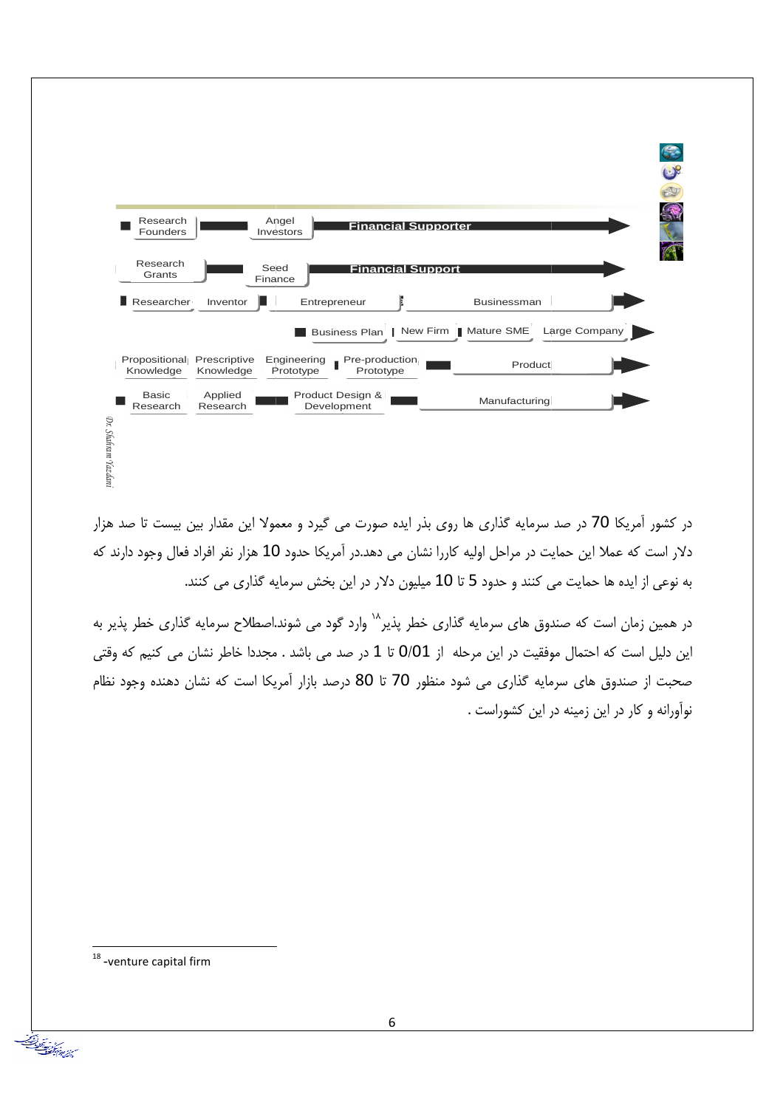

در کشور آمریکا 70 در صد سرمایه گذاری ها روی بذر ایده صورت می گیرد و معمولا این مقدار بین بیست تا صد هزار دلار است که عملا این حمایت در مراحل اولیه کاررا نشان می دهد.در آمریکا حدود 10 هزار نفر افراد فعال وجود دارند که به نوعی از ایده ها حمایت می کنند و حدود 5 تا 10 میلیون دلار در این بخش سرمایه گذاری می کنند.

در همین زمان است که صندوق های سرمایه گذاری خطر پذیر<sup>۱۸</sup> وارد گود می شوند.اصطلاح سرمایه گذاری خطر پذیر به این دلیل است که احتمال موفقیت در این مرحله از 0/01 تا 1 در صد می باشد . مجددا خاطر نشان می کنیم که وقتی صحبت از صندوق های سرمایه گذاری می شود منظور 70 تا 80 درصد بازار آمریکا است که نشان دهنده وجود نظام نوآورانه و کار در این زمینه در این کشوراست .

 $18$  -venture capital firm

سن و تبدا<u>عضا</u><br>سن عادة المصنف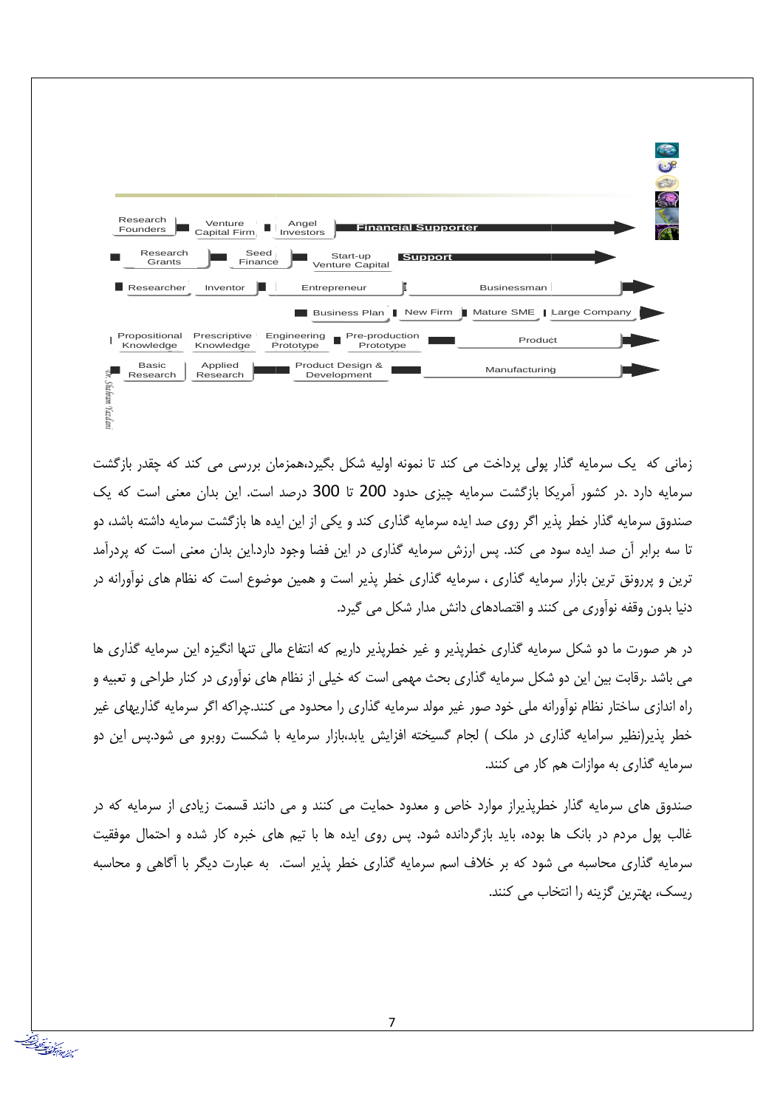

زمانی که یک سرمایه گذار پولی پرداخت می کند تا نمونه اولیه شکل بگیرد،همزمان بررسی می کند که چقدر بازگشت سرمایه دارد .در کشور آمریکا بازگشت سرمایه چیزی حدود 200 تا 300 درصد است. این بدان معنی است که یک صندوق سرمایه گذار خطر پذیر اگر روی صد ایده سرمایه گذاری کند و یکی از این ایده ها بازگشت سرمایه داشته باشد، دو تا سه برابر آن صد ایده سود می کند. پس ارزش سرمایه گذاری در این فضا وجود دارد.این بدان معنی است که پردرآمد ترین و پررونق ترین بازار سرمایه گذاری ، سرمایه گذاری خطر پذیر است و همین موضوع است که نظام های نوآورانه در دنیا بدون وقفه نوآوری می کنند و اقتصادهای دانش مدار شکل می گیرد.

در هر صورت ما دو شکل سرمایه گذاری خطریذیر و غیر خطریذیر داریم که انتفاع مالی تنها انگیزه این سرمایه گذاری ها می باشد .رقابت بین این دو شکل سرمایه گذاری بحث مهمی است که خیلی از نظام های نوآوری در کنار طراحی و تعبیه و راه اندازی ساختار نظام نوآورانه ملی خود صور غیر مولد سرمایه گذاری را محدود می کنند.چراکه اگر سرمایه گذاریهای غیر خطر پذیر(نظیر سرامایه گذاری در ملک ) لجام گسیخته افزایش یابد،بازار سرمایه با شکست روبرو می شود.پس این دو سرمایه گذاری به موازات هم کار می کنند.

صندوق های سرمایه گذار خطرپذیراز موارد خاص و معدود حمایت می کنند و می دانند قسمت زیادی از سرمایه که در غالب پول مردم در بانک ها بوده، باید بازگردانده شود. پس روی ایده ها با تیم های خبره کار شده و احتمال موفقیت سرمایه گذاری محاسبه می شود که بر خلاف اسم سرمایه گذاری خطر پذیر است. به عبارت دیگر با آگاهی و محاسبه ريسک، بهترين گزينه را انتخاب مي کنند.

من وبيدان<br>من عرض المصنعة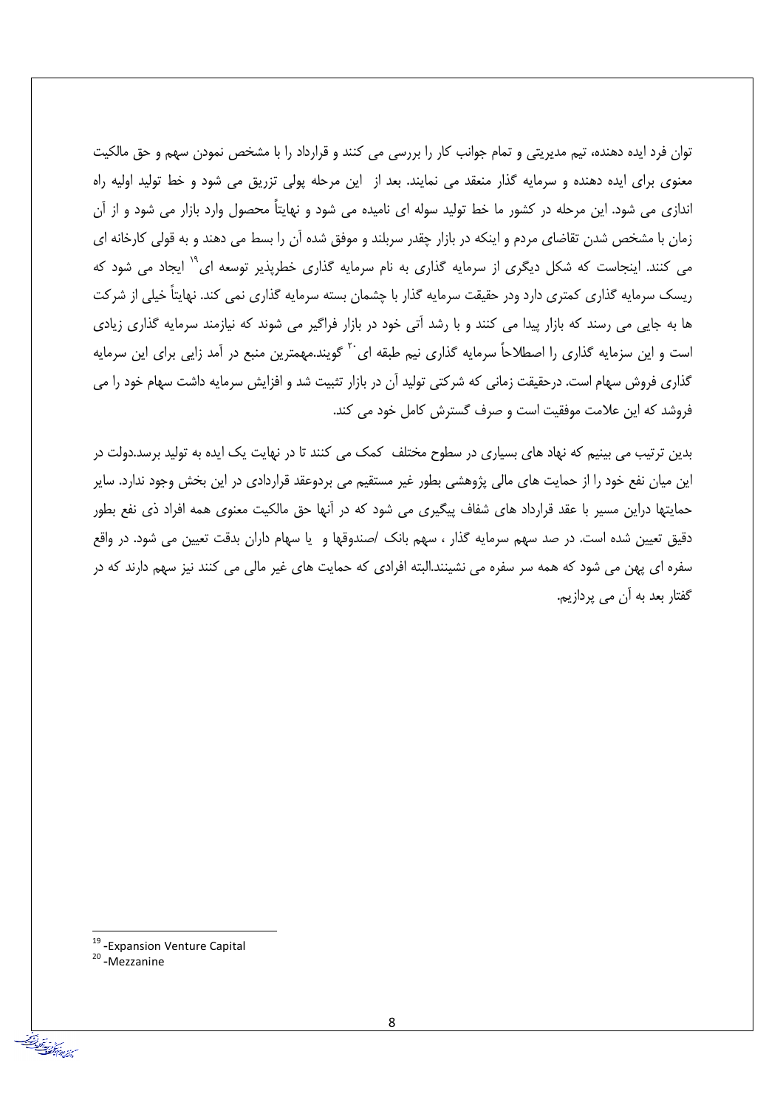توان فرد ایده دهنده، تیم مدیریتی و تمام جوانب کار را بررسی می کنند و قرارداد را با مشخص نمودن سهم و حق مالکیت معنوی برای ایده دهنده و سرمایه گذار منعقد می نمایند. بعد از این مرحله پولی تزریق می شود و خط تولید اولیه راه اندازی می شود. این مرحله در کشور ما خط تولید سوله ای نامیده می شود و نهایتاً محصول وارد بازار می شود و از آن زمان با مشخص شدن تقاضای مردم و اینکه در بازار چقدر سربلند و موفق شده آن را بسط می دهند و به قولی کارخانه ای می کنند. اینجاست که شکل دیگری از سرمایه گذاری به نام سرمایه گذاری خطریذیر توسعه ای<sup>۲۰</sup> ایجاد می شود که ریسک سرمایه گذاری کمتری دارد ودر حقیقت سرمایه گذار با چشمان بسته سرمایه گذاری نمی کند. نهایتاً خیلی از شرکت ها به جایی می رسند که بازار پیدا می کنند و با رشد آتی خود در بازار فراگیر می شوند که نیازمند سرمایه گذاری زیادی است و این سزمایه گذاری را اصطلاحاً سرمایه گذاری نیم طبقه ای<sup>۲۰</sup> گویند.مهمترین منبع در آمد زایی برای این سرمایه گذاری فروش سهام است. درحقیقت زمانی که شرکتی تولید آن در بازار تثبیت شد و افزایش سرمایه داشت سهام خود را می فروشد که این علامت موفقیت است و صرف گسترش کامل خود می کند.

بدین ترتیب می بینیم که نهاد های بسیاری در سطوح مختلف کمک می کنند تا در نهایت یک ایده به تولید برسد.دولت در این میان نفع خود را از حمایت های مالی پژوهشی بطور غیر مستقیم می بردوعقد قراردادی در این بخش وجود ندارد. سایر حمایتها دراین مسیر با عقد قرارداد های شفاف پیگیری می شود که در آنها حق مالکیت معنوی همه افراد ذی نفع بطور دقیق تعیین شده است. در صد سهم سرمایه گذار ، سهم بانک /صندوقها و یا سهام داران بدقت تعیین می شود. در واقع سفره ای پهن می شود که همه سر سفره می نشینند.البته افرادی که حمایت های غیر مالی می کنند نیز سهم دارند که در گفتار بعد به آن می پردازیم.

من وبعداد<br>مسترير عادم كمنصلة

<sup>&</sup>lt;sup>19</sup> - Expansion Venture Capital

<sup>&</sup>lt;sup>20</sup>-Mezzanine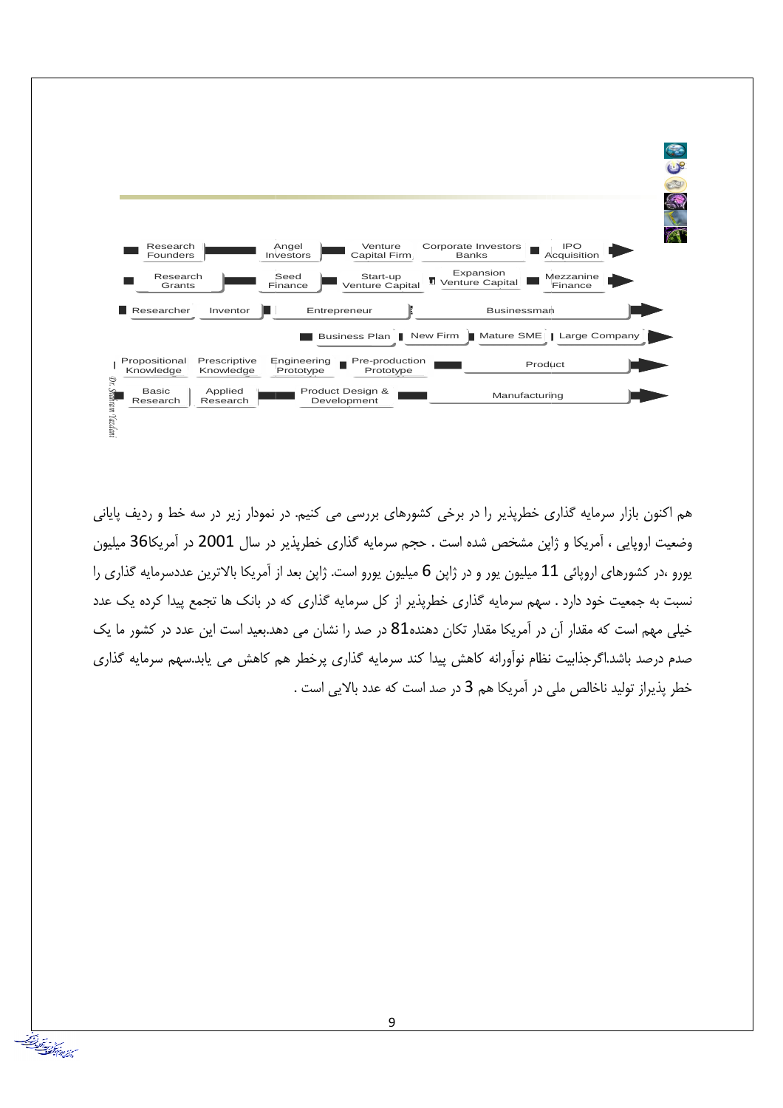

هم اکنون بازار سرمایه گذاری خطرپذیر را در برخی کشورهای بررسی می کنیم. در نمودار زیر در سه خط و ردیف پایانی وضعیت اروپایی ، آمریکا و ژاپن مشخص شده است . حجم سرمایه گذاری خطرپذیر در سال 2001 در آمریکا36 میلیون یورو ،در کشورهای اروپائی 11 میلیون یور و در ژاپن 6 میلیون یورو است. ژاپن بعد از آمریکا بالاترین عددسرمایه گذاری را نسبت به جمعیت خود دارد . سهم سرمایه گذاری خطریذیر از کل سرمایه گذاری که در بانک ها تجمع پیدا کرده یک عدد خیلی مهم است که مقدار آن در آمریکا مقدار تکان دهنده81 در صد را نشان می دهد.بعید است این عدد در کشور ما یک صدم درصد باشد.اگرجذابیت نظام نوآورانه کاهش پیدا کند سرمایه گذاری پرخطر هم کاهش می پابد.سهم سرمایه گذاری خطر پذیراز تولید ناخالص ملی در آمریکا هم 3 در صد است که عدد بالایی است .

من المستشرف المقابل.<br>من المستشرف المستقبل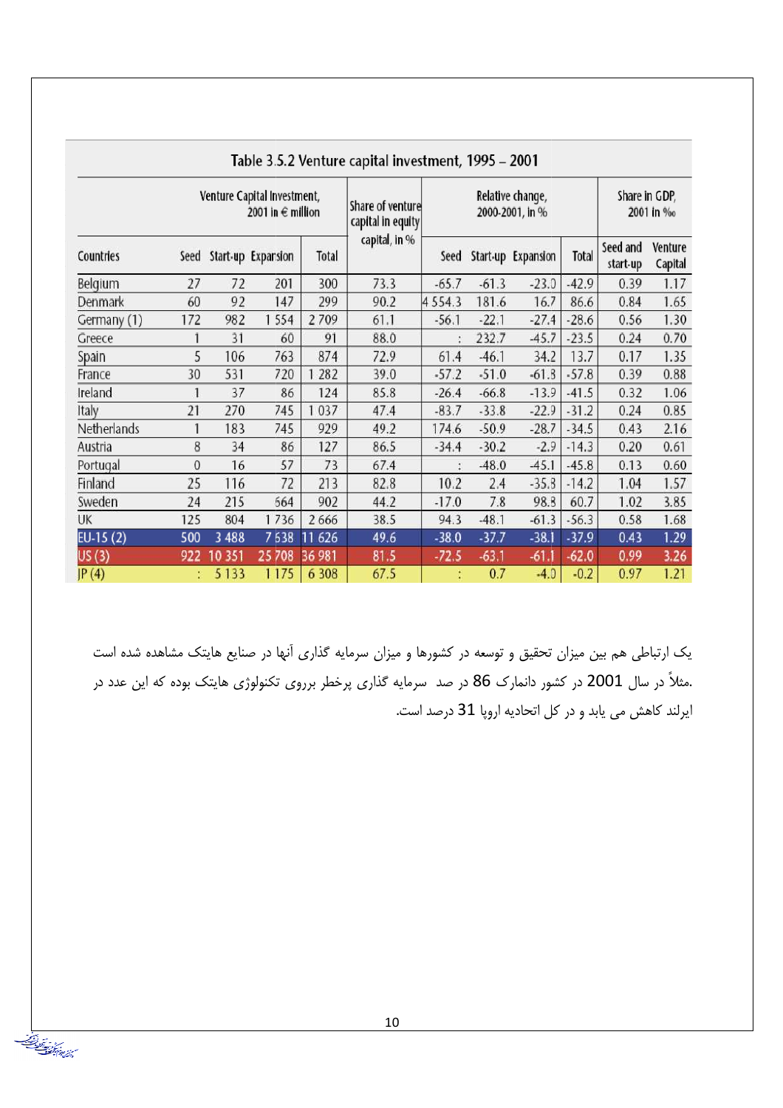|             | rapic 3.3.2 veritare capital investment, $1223 - 2001$ |         |                                                      |         |                                       |             |         |                                     |                            |                      |                    |
|-------------|--------------------------------------------------------|---------|------------------------------------------------------|---------|---------------------------------------|-------------|---------|-------------------------------------|----------------------------|----------------------|--------------------|
|             |                                                        |         | Venture Capital Investment,<br>2001 in $\in$ million |         | Share of venture<br>capital in equity |             |         | Relative change,<br>2000-2001, in % | Share in GDP,<br>2001 in % |                      |                    |
| Countries   | Seed                                                   |         | Start-up Expansion                                   | Total   | capital, in %                         | Seed        |         | Start-up Expansion                  | Total                      | Seed and<br>start-up | Venture<br>Capital |
| Belgium     | 27                                                     | 72      | 201                                                  | 300     | 73.3                                  | $-65.7$     | $-61.3$ | $-23.0$                             | $-42.9$                    | 0.39                 | 1.17               |
| Denmark     | 60                                                     | 92      | 147                                                  | 299     | 90.2                                  | 4 5 5 4 . 3 | 181.6   | 16.7                                | 86.6                       | 0.84                 | 1.65               |
| Germany (1) | 172                                                    | 982     | 554                                                  | 2709    | 61.1                                  | $-56.1$     | $-22.1$ | $-27.4$                             | $-28.6$                    | 0.56                 | 1.30               |
| Greece      |                                                        | 31      | 60                                                   | 91      | 88.0                                  |             | 232.7   | $-45.7$                             | $-23.5$                    | 0.24                 | 0.70               |
| Spain       | 5                                                      | 106     | 763                                                  | 874     | 72.9                                  | 61.4        | $-46.1$ | 34.2                                | 13.7                       | 0.17                 | 1.35               |
| France      | 30                                                     | 531     | 720                                                  | 282     | 39.0                                  | $-57.2$     | $-51.0$ | $-61.8$                             | $-57.8$                    | 0.39                 | 0.88               |
| Ireland     |                                                        | 37      | 86                                                   | 124     | 85.8                                  | $-26.4$     | $-66.8$ | $-13.9$                             | $-41.5$                    | 0.32                 | 1.06               |
| Italy       | 21                                                     | 270     | 745                                                  | 037     | 47.4                                  | $-83.7$     | $-33.8$ | $-22.9$                             | $-31.2$                    | 0.24                 | 0.85               |
| Netherlands |                                                        | 183     | 745                                                  | 929     | 49.2                                  | 174.6       | $-50.9$ | $-28.7$                             | $-34.5$                    | 0.43                 | 2.16               |
| Austria     | 8                                                      | 34      | 86                                                   | 127     | 86.5                                  | $-34.4$     | $-30.2$ | $-2.9$                              | $-14.3$                    | 0.20                 | 0.61               |
| Portugal    | 0                                                      | 16      | 57                                                   | 73      | 67.4                                  |             | $-48.0$ | $-45.1$                             | $-45.8$                    | 0.13                 | 0.60               |
| Finland     | 25                                                     | 116     | 72                                                   | 213     | 82.8                                  | 10.2        | 2.4     | $-35.8$                             | $-14.2$                    | 1.04                 | 1.57               |
| Sweden      | 24                                                     | 215     | 664                                                  | 902     | 44.2                                  | $-17.0$     | 7.8     | 98.8                                | 60.7                       | 1.02                 | 3.85               |
| UK          | 125                                                    | 804     | 1736                                                 | 2 6 6 6 | 38.5                                  | 94.3        | $-48.1$ | $-61.3$                             | $-56.3$                    | 0.58                 | 1.68               |
| $EU-15(2)$  | 500                                                    | 3 4 8 8 | 7638                                                 | 11 626  | 49.6                                  | $-38.0$     | $-37.7$ | $-38.1$                             | $-37.9$                    | 0.43                 | 1.29               |
| US(3)       | 922                                                    | 10 351  | 25 708                                               | 36 981  | 81.5                                  | $-72.5$     | $-63.1$ | $-61.1$                             | $-62.0$                    | 0.99                 | 3.26               |
| P(4)        | and the                                                | 5 1 3 3 | 1175                                                 | 6 3 0 8 | 67.5                                  |             | 0.7     | $-4.0$                              | $-0.2$                     | 0.97                 | 1.21               |

Table 3.5.2 Venture capital investment 1995 - 2001

یک ارتباطی هم بین میزان تحقیق و توسعه در کشورها و میزان سرمایه گذاری آنها در صنایع هایتک مشاهده شده است .مثلاً در سال 2001 در کشور دانمارک 86 در صد سرمایه گذاری پرخطر برروی تکنولوژی هایتک بوده که این عدد در ایرلند کاهش می یابد و در کل اتحادیه اروپا 31 درصد است.

سين و بيدان<br>سينشياني بانست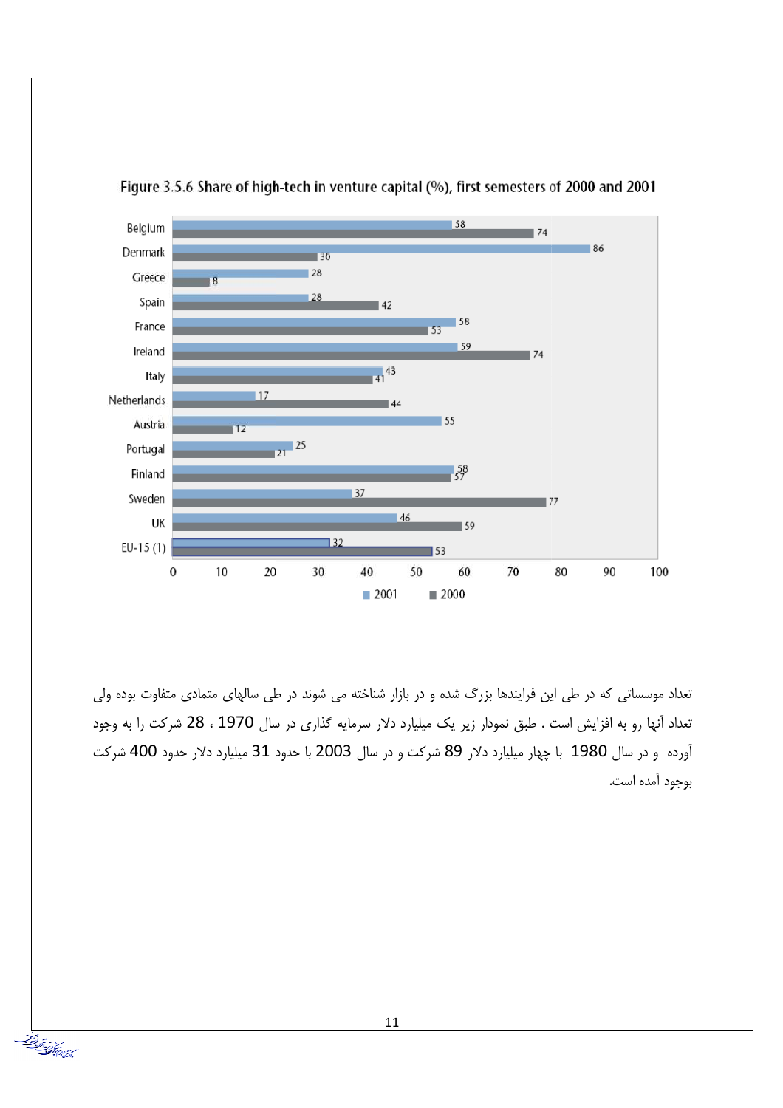

Figure 3.5.6 Share of high-tech in venture capital (%), first semesters of 2000 and 2001

تعداد موسساتی که در طی این فرایندها بزرگ شده و در بازار شناخته می شوند در طی سالهای متمادی متفاوت بوده ولی تعداد آنها رو به افزایش است . طبق نمودار زیر یک میلیارد دلار سرمایه گذاری در سال 1970 ، 28 شرکت را به وجود آورده و در سال 1980 با چهار میلیارد دلار 89 شرکت و در سال 2003 با حدود 31 میلیارد دلار حدود 400 شرکت بوجود آمده است.

متر في المستخدم المستخدم.<br>سرائع الأكواب المستخدم المستخدم المستخدم.<br>سرائع الأكواب المستخدم